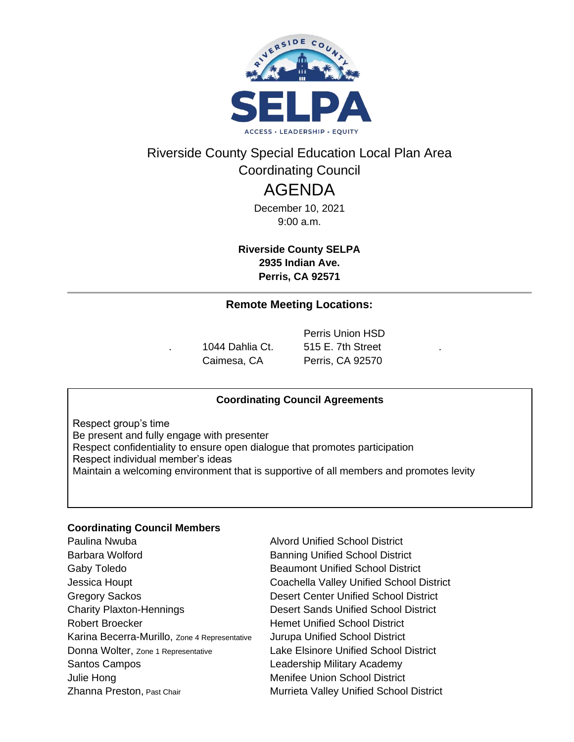

## Riverside County Special Education Local Plan Area Coordinating Council

# AGENDA

December 10, 2021 9:00 a.m.

**Riverside County SELPA 2935 Indian Ave. Perris, CA 92571**

### **Remote Meeting Locations:**

Perris Union HSD 1044 Dahlia Ct. 515 E. 7th Street Caimesa, CA Perris, CA 92570

### **Coordinating Council Agreements**

Respect group's time Be present and fully engage with presenter Respect confidentiality to ensure open dialogue that promotes participation Respect individual member's ideas Maintain a welcoming environment that is supportive of all members and promotes levity

### **Coordinating Council Members**

Paulina Nwuba **Alvord Unified School District** Barbara Wolford **Banning Unified School District** Gaby Toledo **Beaumont Unified School District** Jessica Houpt Coachella Valley Unified School District Gregory Sackos **Desert Center Unified School District** Charity Plaxton-Hennings Desert Sands Unified School District Robert Broecker **Hemet Unified School District** Karina Becerra-Murillo, Zone 4 Representative Jurupa Unified School District Donna Wolter, Zone 1 Representative Lake Elsinore Unified School District Santos Campos **Campos** Leadership Military Academy Julie Hong **Menifee Union School District** Zhanna Preston, Past Chair Murrieta Valley Unified School District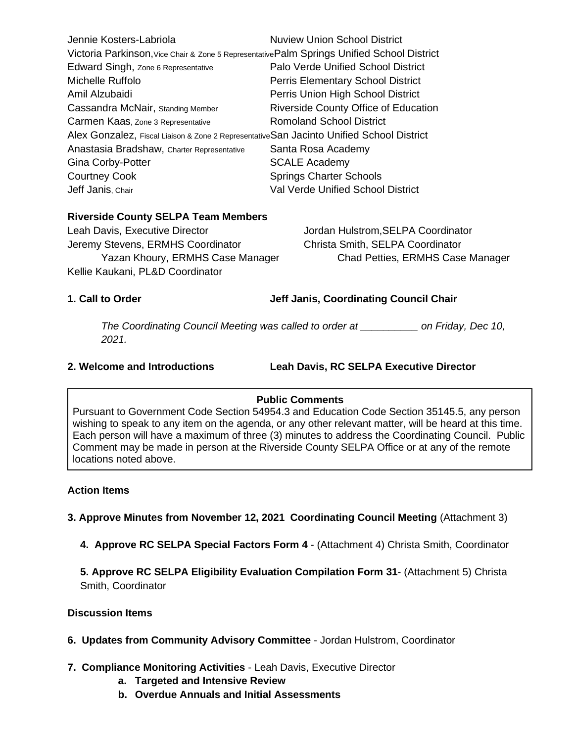| Jennie Kosters-Labriola                                                                     | <b>Nuview Union School District</b>       |
|---------------------------------------------------------------------------------------------|-------------------------------------------|
| Victoria Parkinson, Vice Chair & Zone 5 Representative Palm Springs Unified School District |                                           |
| Edward Singh, Zone 6 Representative                                                         | <b>Palo Verde Unified School District</b> |
| Michelle Ruffolo                                                                            | <b>Perris Elementary School District</b>  |
| Amil Alzubaidi                                                                              | Perris Union High School District         |
| Cassandra McNair, Standing Member                                                           | Riverside County Office of Education      |
| Carmen Kaas, Zone 3 Representative                                                          | <b>Romoland School District</b>           |
| Alex Gonzalez, Fiscal Liaison & Zone 2 Representative San Jacinto Unified School District   |                                           |
| Anastasia Bradshaw, Charter Representative                                                  | Santa Rosa Academy                        |
| <b>Gina Corby-Potter</b>                                                                    | <b>SCALE Academy</b>                      |
| <b>Courtney Cook</b>                                                                        | <b>Springs Charter Schools</b>            |
| Jeff Janis, Chair                                                                           | <b>Val Verde Unified School District</b>  |

### **Riverside County SELPA Team Members**

Leah Davis, Executive Director **Jordan Hulstrom, SELPA Coordinator** Jeremy Stevens, ERMHS Coordinator Christa Smith, SELPA Coordinator Kellie Kaukani, PL&D Coordinator

Yazan Khoury, ERMHS Case Manager Chad Petties, ERMHS Case Manager

**1. Call to Order Jeff Janis, Coordinating Council Chair**

*The Coordinating Council Meeting was called to order at \_\_\_\_\_\_\_\_\_\_ on Friday, Dec 10, 2021.*

**2. Welcome and Introductions Leah Davis, RC SELPA Executive Director** 

### **Public Comments**

Pursuant to Government Code Section 54954.3 and Education Code Section 35145.5, any person wishing to speak to any item on the agenda, or any other relevant matter, will be heard at this time. Each person will have a maximum of three (3) minutes to address the Coordinating Council. Public Comment may be made in person at the Riverside County SELPA Office or at any of the remote locations noted above.

### **Action Items**

**3. Approve Minutes from November 12, 2021 Coordinating Council Meeting (Attachment 3)** 

**4. Approve RC SELPA Special Factors Form 4** - (Attachment 4) Christa Smith, Coordinator

**5. Approve RC SELPA Eligibility Evaluation Compilation Form 31**- (Attachment 5) Christa Smith, Coordinator

### **Discussion Items**

- **6. Updates from Community Advisory Committee** Jordan Hulstrom, Coordinator
- **7. Compliance Monitoring Activities** Leah Davis, Executive Director
	- **a. Targeted and Intensive Review**
	- **b. Overdue Annuals and Initial Assessments**